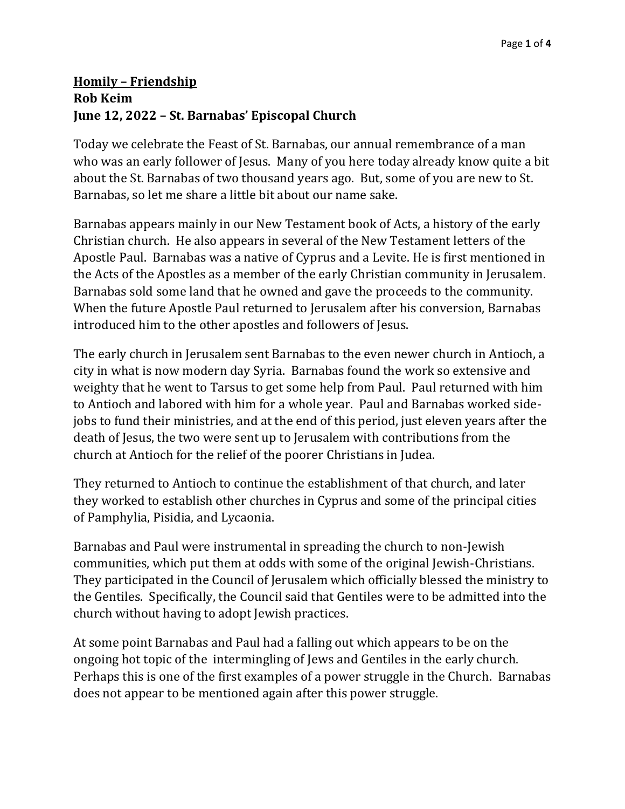## **Homily – Friendship Rob Keim June 12, 2022 – St. Barnabas' Episcopal Church**

Today we celebrate the Feast of St. Barnabas, our annual remembrance of a man who was an early follower of Jesus. Many of you here today already know quite a bit about the St. Barnabas of two thousand years ago. But, some of you are new to St. Barnabas, so let me share a little bit about our name sake.

Barnabas appears mainly in our New Testament book of Acts, a history of the early Christian church. He also appears in several of the New Testament letters of the Apostle Paul. Barnabas was a native of Cyprus and a Levite. He is first mentioned in the Acts of the Apostles as a member of the early Christian community in Jerusalem. Barnabas sold some land that he owned and gave the proceeds to the community. When the future Apostle Paul returned to Jerusalem after his conversion, Barnabas introduced him to the other apostles and followers of Jesus.

The early church in Jerusalem sent Barnabas to the even newer church in Antioch, a city in what is now modern day Syria. Barnabas found the work so extensive and weighty that he went to Tarsus to get some help from Paul. Paul returned with him to Antioch and labored with him for a whole year. Paul and Barnabas worked sidejobs to fund their ministries, and at the end of this period, just eleven years after the death of Jesus, the two were sent up to Jerusalem with contributions from the church at Antioch for the relief of the poorer Christians in Judea.

They returned to Antioch to continue the establishment of that church, and later they worked to establish other churches in Cyprus and some of the principal cities of Pamphylia, Pisidia, and Lycaonia.

Barnabas and Paul were instrumental in spreading the church to non-Jewish communities, which put them at odds with some of the original Jewish-Christians. They participated in the Council of Jerusalem which officially blessed the ministry to the Gentiles. Specifically, the Council said that Gentiles were to be admitted into the church without having to adopt Jewish practices.

At some point Barnabas and Paul had a falling out which appears to be on the ongoing hot topic of the intermingling of Jews and Gentiles in the early church. Perhaps this is one of the first examples of a power struggle in the Church. Barnabas does not appear to be mentioned again after this power struggle.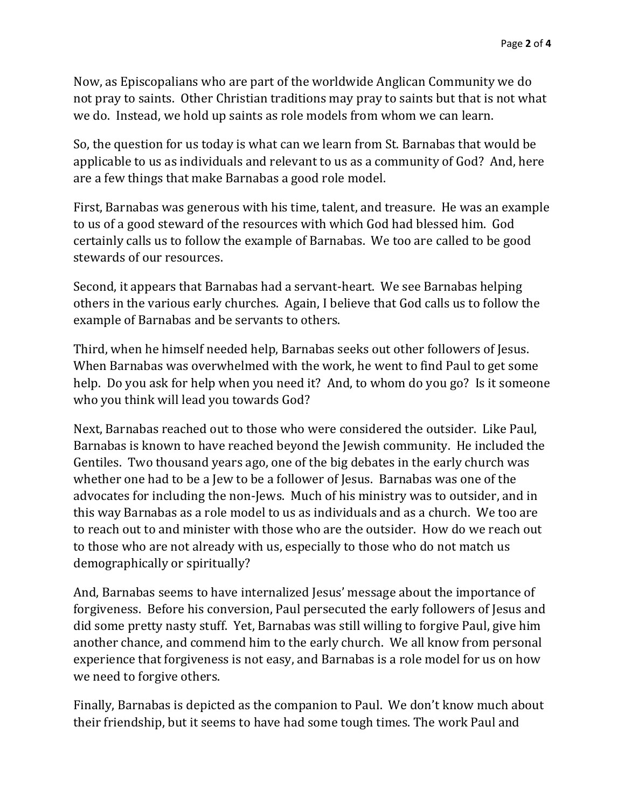Now, as Episcopalians who are part of the worldwide Anglican Community we do not pray to saints. Other Christian traditions may pray to saints but that is not what we do. Instead, we hold up saints as role models from whom we can learn.

So, the question for us today is what can we learn from St. Barnabas that would be applicable to us as individuals and relevant to us as a community of God? And, here are a few things that make Barnabas a good role model.

First, Barnabas was generous with his time, talent, and treasure. He was an example to us of a good steward of the resources with which God had blessed him. God certainly calls us to follow the example of Barnabas. We too are called to be good stewards of our resources.

Second, it appears that Barnabas had a servant-heart. We see Barnabas helping others in the various early churches. Again, I believe that God calls us to follow the example of Barnabas and be servants to others.

Third, when he himself needed help, Barnabas seeks out other followers of Jesus. When Barnabas was overwhelmed with the work, he went to find Paul to get some help. Do you ask for help when you need it? And, to whom do you go? Is it someone who you think will lead you towards God?

Next, Barnabas reached out to those who were considered the outsider. Like Paul, Barnabas is known to have reached beyond the Jewish community. He included the Gentiles. Two thousand years ago, one of the big debates in the early church was whether one had to be a Jew to be a follower of Jesus. Barnabas was one of the advocates for including the non-Jews. Much of his ministry was to outsider, and in this way Barnabas as a role model to us as individuals and as a church. We too are to reach out to and minister with those who are the outsider. How do we reach out to those who are not already with us, especially to those who do not match us demographically or spiritually?

And, Barnabas seems to have internalized Jesus' message about the importance of forgiveness. Before his conversion, Paul persecuted the early followers of Jesus and did some pretty nasty stuff. Yet, Barnabas was still willing to forgive Paul, give him another chance, and commend him to the early church. We all know from personal experience that forgiveness is not easy, and Barnabas is a role model for us on how we need to forgive others.

Finally, Barnabas is depicted as the companion to Paul. We don't know much about their friendship, but it seems to have had some tough times. The work Paul and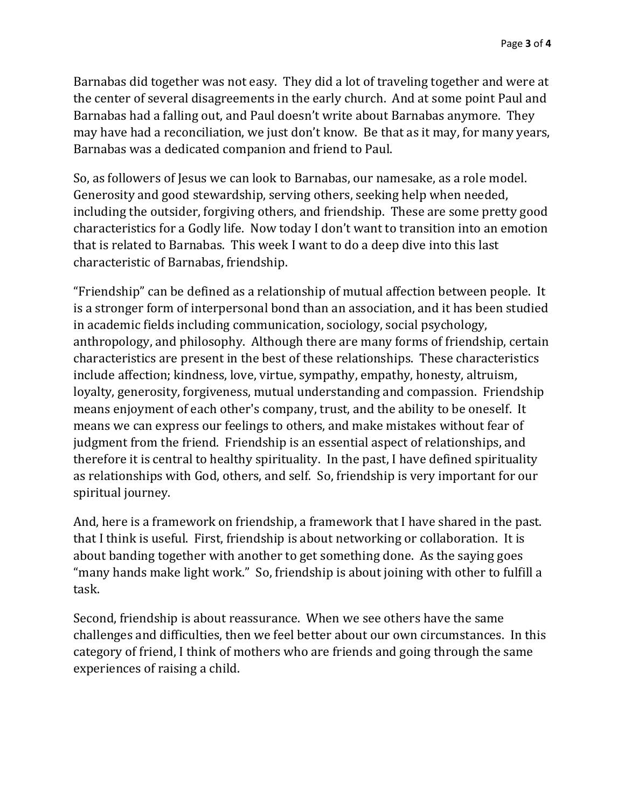Barnabas did together was not easy. They did a lot of traveling together and were at the center of several disagreements in the early church. And at some point Paul and Barnabas had a falling out, and Paul doesn't write about Barnabas anymore. They may have had a reconciliation, we just don't know. Be that as it may, for many years, Barnabas was a dedicated companion and friend to Paul.

So, as followers of Jesus we can look to Barnabas, our namesake, as a role model. Generosity and good stewardship, serving others, seeking help when needed, including the outsider, forgiving others, and friendship. These are some pretty good characteristics for a Godly life. Now today I don't want to transition into an emotion that is related to Barnabas. This week I want to do a deep dive into this last characteristic of Barnabas, friendship.

"Friendship" can be defined as a relationship of mutual affection between people. It is a stronger form of interpersonal bond than an association, and it has been studied in academic fields including communication, sociology, social psychology, anthropology, and philosophy. Although there are many forms of friendship, certain characteristics are present in the best of these relationships. These characteristics include affection; kindness, love, virtue, sympathy, empathy, honesty, altruism, loyalty, generosity, forgiveness, mutual understanding and compassion. Friendship means enjoyment of each other's company, trust, and the ability to be oneself. It means we can express our feelings to others, and make mistakes without fear of judgment from the friend. Friendship is an essential aspect of relationships, and therefore it is central to healthy spirituality. In the past, I have defined spirituality as relationships with God, others, and self. So, friendship is very important for our spiritual journey.

And, here is a framework on friendship, a framework that I have shared in the past. that I think is useful. First, friendship is about networking or collaboration. It is about banding together with another to get something done. As the saying goes "many hands make light work." So, friendship is about joining with other to fulfill a task.

Second, friendship is about reassurance. When we see others have the same challenges and difficulties, then we feel better about our own circumstances. In this category of friend, I think of mothers who are friends and going through the same experiences of raising a child.